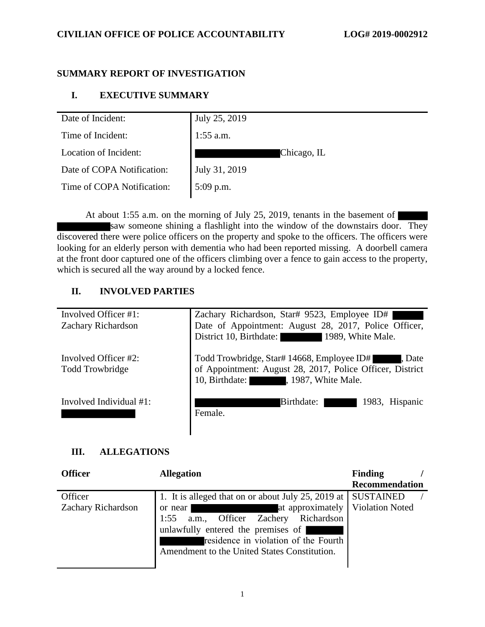## **SUMMARY REPORT OF INVESTIGATION**

## **I. EXECUTIVE SUMMARY**

| Date of Incident:          | July 25, 2019 |
|----------------------------|---------------|
| Time of Incident:          | $1:55$ a.m.   |
| Location of Incident:      | Chicago, IL   |
| Date of COPA Notification: | July 31, 2019 |
| Time of COPA Notification: | 5:09 p.m.     |

At about 1:55 a.m. on the morning of July 25, 2019, tenants in the basement of saw someone shining a flashlight into the window of the downstairs door. They discovered there were police officers on the property and spoke to the officers. The officers were looking for an elderly person with dementia who had been reported missing. A doorbell camera at the front door captured one of the officers climbing over a fence to gain access to the property, which is secured all the way around by a locked fence.

## **II. INVOLVED PARTIES**

| Involved Officer #1:<br>Zachary Richardson | Zachary Richardson, Star# 9523, Employee ID#<br>Date of Appointment: August 28, 2017, Police Officer,<br>District 10, Birthdate:<br>1989, White Male.      |
|--------------------------------------------|------------------------------------------------------------------------------------------------------------------------------------------------------------|
| Involved Officer #2:<br>Todd Trowbridge    | Todd Trowbridge, Star# 14668, Employee ID#<br>, Date<br>of Appointment: August 28, 2017, Police Officer, District<br>10, Birthdate:<br>, 1987, White Male. |
| Involved Individual #1:                    | Birthdate:<br>1983, Hispanic<br>Female.                                                                                                                    |

#### **III. ALLEGATIONS**

| <b>Officer</b>            | <b>Allegation</b>                                            | <b>Finding</b>        |
|---------------------------|--------------------------------------------------------------|-----------------------|
|                           |                                                              | <b>Recommendation</b> |
| Officer                   | 1. It is alleged that on or about July 25, 2019 at SUSTAINED |                       |
| <b>Zachary Richardson</b> | at approximately   Violation Noted<br>or near                |                       |
|                           | a.m., Officer Zachery Richardson<br>1:55                     |                       |
|                           | unlawfully entered the premises of                           |                       |
|                           | residence in violation of the Fourth                         |                       |
|                           | Amendment to the United States Constitution.                 |                       |
|                           |                                                              |                       |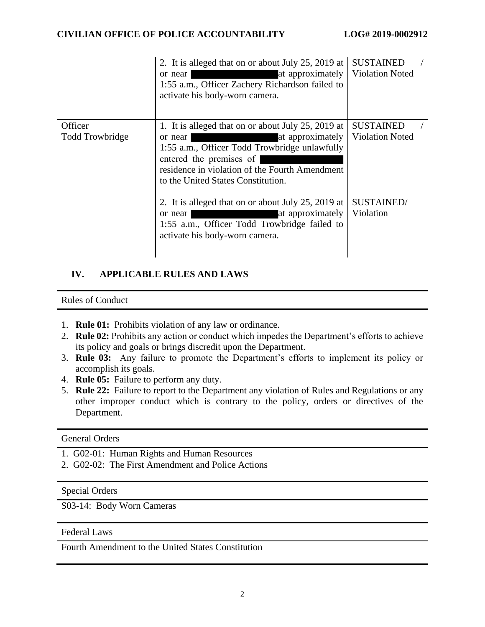|                            | 2. It is alleged that on or about July 25, 2019 at<br>at approximately<br>or near<br>1:55 a.m., Officer Zachery Richardson failed to<br>activate his body-worn camera.                                                                                | <b>SUSTAINED</b><br><b>Violation Noted</b> |  |
|----------------------------|-------------------------------------------------------------------------------------------------------------------------------------------------------------------------------------------------------------------------------------------------------|--------------------------------------------|--|
| Officer<br>Todd Trowbridge | 1. It is alleged that on or about July 25, 2019 at<br>at approximately<br>or near<br>1:55 a.m., Officer Todd Trowbridge unlawfully<br>entered the premises of<br>residence in violation of the Fourth Amendment<br>to the United States Constitution. | <b>SUSTAINED</b><br><b>Violation Noted</b> |  |
|                            | 2. It is alleged that on or about July 25, 2019 at<br>at approximately<br>or near<br>1:55 a.m., Officer Todd Trowbridge failed to<br>activate his body-worn camera.                                                                                   | <b>SUSTAINED/</b><br>Violation             |  |

## **IV. APPLICABLE RULES AND LAWS**

### Rules of Conduct

- 1. **Rule 01:** Prohibits violation of any law or ordinance.
- 2. **Rule 02:** Prohibits any action or conduct which impedes the Department's efforts to achieve its policy and goals or brings discredit upon the Department.
- 3. **Rule 03:** Any failure to promote the Department's efforts to implement its policy or accomplish its goals.
- 4. **Rule 05:** Failure to perform any duty.
- 5. **Rule 22:** Failure to report to the Department any violation of Rules and Regulations or any other improper conduct which is contrary to the policy, orders or directives of the Department.

#### General Orders

- 1. G02-01: Human Rights and Human Resources
- 2. G02-02: The First Amendment and Police Actions

#### Special Orders

S03-14: Body Worn Cameras

#### Federal Laws

Fourth Amendment to the United States Constitution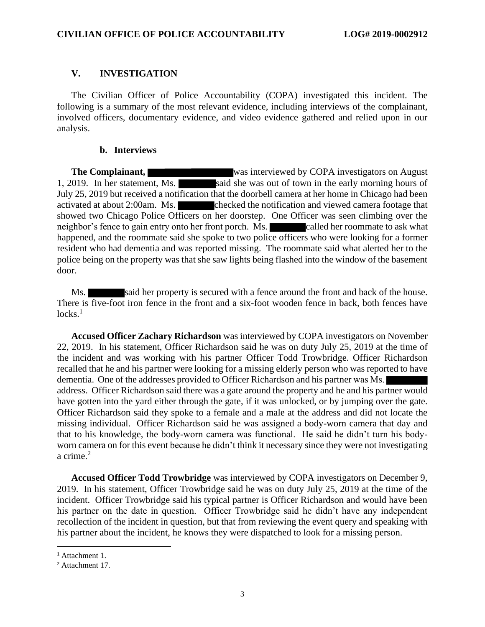### **V. INVESTIGATION**

The Civilian Officer of Police Accountability (COPA) investigated this incident. The following is a summary of the most relevant evidence, including interviews of the complainant, involved officers, documentary evidence, and video evidence gathered and relied upon in our analysis.

#### **b. Interviews**

**The Complainant,** was interviewed by COPA investigators on August 1, 2019. In her statement, Ms. said she was out of town in the early morning hours of July 25, 2019 but received a notification that the doorbell camera at her home in Chicago had been activated at about 2:00am. Ms. checked the notification and viewed camera footage that showed two Chicago Police Officers on her doorstep. One Officer was seen climbing over the neighbor's fence to gain entry onto her front porch. Ms. called her roommate to ask what happened, and the roommate said she spoke to two police officers who were looking for a former resident who had dementia and was reported missing. The roommate said what alerted her to the police being on the property was that she saw lights being flashed into the window of the basement door.

Ms. Said her property is secured with a fence around the front and back of the house. There is five-foot iron fence in the front and a six-foot wooden fence in back, both fences have  $locks.<sup>1</sup>$ 

**Accused Officer Zachary Richardson** was interviewed by COPA investigators on November 22, 2019. In his statement, Officer Richardson said he was on duty July 25, 2019 at the time of the incident and was working with his partner Officer Todd Trowbridge. Officer Richardson recalled that he and his partner were looking for a missing elderly person who was reported to have dementia. One of the addresses provided to Officer Richardson and his partner was Ms. address. Officer Richardson said there was a gate around the property and he and his partner would have gotten into the yard either through the gate, if it was unlocked, or by jumping over the gate. Officer Richardson said they spoke to a female and a male at the address and did not locate the missing individual. Officer Richardson said he was assigned a body-worn camera that day and that to his knowledge, the body-worn camera was functional. He said he didn't turn his bodyworn camera on for this event because he didn't think it necessary since they were not investigating a crime.<sup>2</sup>

**Accused Officer Todd Trowbridge** was interviewed by COPA investigators on December 9, 2019. In his statement, Officer Trowbridge said he was on duty July 25, 2019 at the time of the incident. Officer Trowbridge said his typical partner is Officer Richardson and would have been his partner on the date in question. Officer Trowbridge said he didn't have any independent recollection of the incident in question, but that from reviewing the event query and speaking with his partner about the incident, he knows they were dispatched to look for a missing person.

<sup>&</sup>lt;sup>1</sup> Attachment 1.

<sup>2</sup> Attachment 17.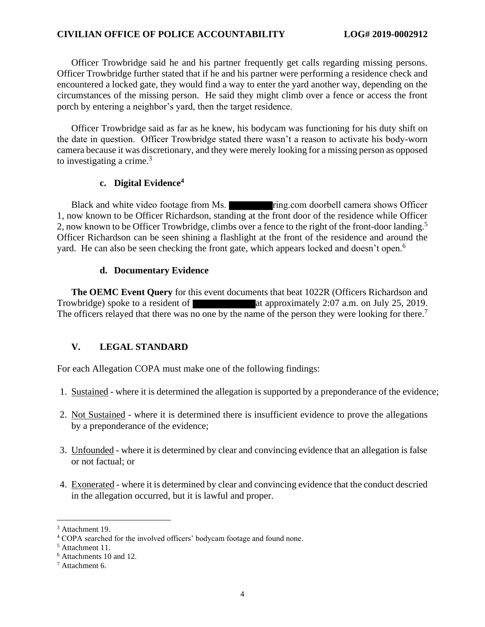Officer Trowbridge said he and his partner frequently get calls regarding missing persons. Officer Trowbridge further stated that if he and his partner were performing a residence check and encountered a locked gate, they would find a way to enter the yard another way, depending on the circumstances of the missing person. He said they might climb over a fence or access the front porch by entering a neighbor's yard, then the target residence.

Officer Trowbridge said as far as he knew, his bodycam was functioning for his duty shift on the date in question. Officer Trowbridge stated there wasn't a reason to activate his body-worn camera because it was discretionary, and they were merely looking for a missing person as opposed to investigating a crime.<sup>3</sup>

#### **c. Digital Evidence<sup>4</sup>**

Black and white video footage from Ms. ring.com doorbell camera shows Officer 1, now known to be Officer Richardson, standing at the front door of the residence while Officer 2, now known to be Officer Trowbridge, climbs over a fence to the right of the front-door landing.<sup>5</sup> Officer Richardson can be seen shining a flashlight at the front of the residence and around the yard. He can also be seen checking the front gate, which appears locked and doesn't open.<sup>6</sup>

#### **d. Documentary Evidence**

**The OEMC Event Query** for this event documents that beat 1022R (Officers Richardson and Trowbridge) spoke to a resident of  $\alpha$  at approximately 2:07 a.m. on July 25, 2019. The officers relayed that there was no one by the name of the person they were looking for there.<sup>7</sup>

## **V. LEGAL STANDARD**

For each Allegation COPA must make one of the following findings:

- 1. Sustained where it is determined the allegation is supported by a preponderance of the evidence;
- 2. Not Sustained where it is determined there is insufficient evidence to prove the allegations by a preponderance of the evidence;
- 3. Unfounded where it is determined by clear and convincing evidence that an allegation is false or not factual; or
- 4. Exonerated where it is determined by clear and convincing evidence that the conduct descried in the allegation occurred, but it is lawful and proper.

<sup>3</sup> Attachment 19.

<sup>4</sup> COPA searched for the involved officers' bodycam footage and found none.

<sup>5</sup> Attachment 11.

<sup>6</sup> Attachments 10 and 12.

<sup>7</sup> Attachment 6.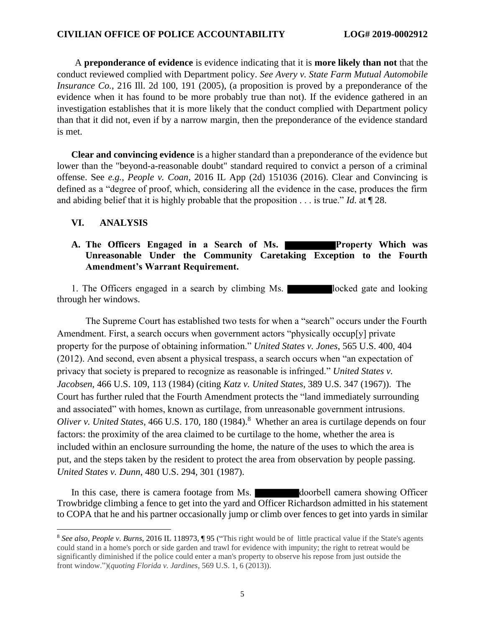A **preponderance of evidence** is evidence indicating that it is **more likely than not** that the conduct reviewed complied with Department policy. *See Avery v. State Farm Mutual Automobile Insurance Co.*, 216 Ill. 2d 100, 191 (2005), (a proposition is proved by a preponderance of the evidence when it has found to be more probably true than not). If the evidence gathered in an investigation establishes that it is more likely that the conduct complied with Department policy than that it did not, even if by a narrow margin, then the preponderance of the evidence standard is met.

**Clear and convincing evidence** is a higher standard than a preponderance of the evidence but lower than the "beyond-a-reasonable doubt" standard required to convict a person of a criminal offense. See *e.g.*, *People v. Coan*, 2016 IL App (2d) 151036 (2016). Clear and Convincing is defined as a "degree of proof, which, considering all the evidence in the case, produces the firm and abiding belief that it is highly probable that the proposition . . . is true." *Id*. at ¶ 28.

#### **VI. ANALYSIS**

#### A. The Officers Engaged in a Search of Ms. **Property Which was Unreasonable Under the Community Caretaking Exception to the Fourth Amendment's Warrant Requirement.**

1. The Officers engaged in a search by climbing Ms. Show locked gate and looking through her windows.

The Supreme Court has established two tests for when a "search" occurs under the Fourth Amendment. First, a search occurs when government actors "physically occup[y] private property for the purpose of obtaining information." *United States v. Jones*, 565 U.S. 400, 404 (2012). And second, even absent a physical trespass, a search occurs when "an expectation of privacy that society is prepared to recognize as reasonable is infringed." *United States v. Jacobsen*, 466 U.S. 109, 113 (1984) (citing *Katz v. United States*, 389 U.S. 347 (1967)). The Court has further ruled that the Fourth Amendment protects the "land immediately surrounding and associated" with homes, known as curtilage, from unreasonable government intrusions. *Oliver v. United States,* 466 U.S. 170, 180 (1984). 8 Whether an area is curtilage depends on four factors: the proximity of the area claimed to be curtilage to the home, whether the area is included within an enclosure surrounding the home, the nature of the uses to which the area is put, and the steps taken by the resident to protect the area from observation by people passing. *United States v. Dunn*, 480 U.S. 294, 301 [\(1987\).](https://advance.lexis.com/api/document/collection/cases/id/3S4X-HT20-003B-41RV-00000-00?page=301&reporter=1100&cite=480%20U.S.%20294&context=1000516)

In this case, there is camera footage from Ms. doorbell camera showing Officer Trowbridge climbing a fence to get into the yard and Officer Richardson admitted in his statement to COPA that he and his partner occasionally jump or climb over fences to get into yards in similar

<sup>8</sup> *See also*, *People v. Burns*, 2016 IL 118973, ¶ 95 ("This right would be of little practical value if the State's agents could stand in a home's porch or side garden and trawl for evidence with impunity; the right to retreat would be significantly diminished if the police could enter a man's property to observe his repose from just outside the front window.")(*quoting Florida v. Jardines*, 569 U.S. 1, 6 (2013)).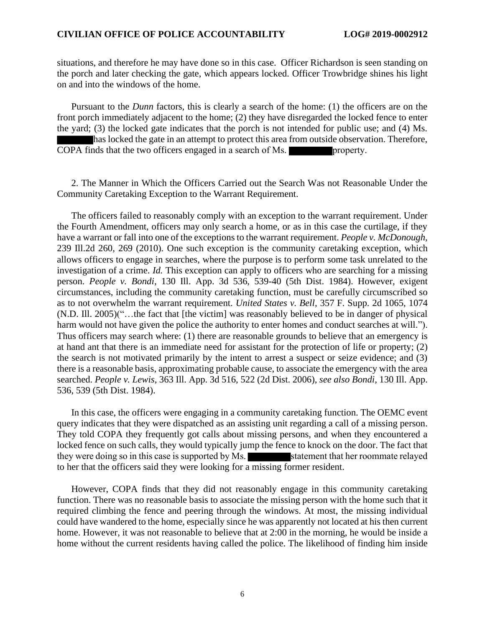situations, and therefore he may have done so in this case. Officer Richardson is seen standing on the porch and later checking the gate, which appears locked. Officer Trowbridge shines his light on and into the windows of the home.

Pursuant to the *Dunn* factors, this is clearly a search of the home: (1) the officers are on the front porch immediately adjacent to the home; (2) they have disregarded the locked fence to enter the yard; (3) the locked gate indicates that the porch is not intended for public use; and (4) Ms. has locked the gate in an attempt to protect this area from outside observation. Therefore, COPA finds that the two officers engaged in a search of Ms. **property.** 

2. The Manner in Which the Officers Carried out the Search Was not Reasonable Under the Community Caretaking Exception to the Warrant Requirement.

The officers failed to reasonably comply with an exception to the warrant requirement. Under the Fourth Amendment, officers may only search a home, or as in this case the curtilage, if they have a warrant or fall into one of the exceptions to the warrant requirement. *People v. McDonough*, 239 Ill.2d 260, 269 (2010). One such exception is the community caretaking exception, which allows officers to engage in searches, where the purpose is to perform some task unrelated to the investigation of a crime. *Id.* This exception can apply to officers who are searching for a missing person. *People v. Bondi*, 130 Ill. App. 3d 536, 539-40 (5th Dist. 1984). However, exigent circumstances, including the community caretaking function, must be carefully circumscribed so as to not overwhelm the warrant requirement. *United States v. Bell*, 357 F. Supp. 2d 1065, 1074 (N.D. Ill. 2005)("…the fact that [the victim] was reasonably believed to be in danger of physical harm would not have given the police the authority to enter homes and conduct searches at will."). Thus officers may search where: (1) there are reasonable grounds to believe that an emergency is at hand ant that there is an immediate need for assistant for the protection of life or property; (2) the search is not motivated primarily by the intent to arrest a suspect or seize evidence; and (3) there is a reasonable basis, approximating probable cause, to associate the emergency with the area searched. *People v. Lewis*, 363 Ill. App. 3d 516, 522 (2d Dist. 2006), *see also Bondi*, 130 Ill. App. 536, 539 (5th Dist. 1984).

In this case, the officers were engaging in a community caretaking function. The OEMC event query indicates that they were dispatched as an assisting unit regarding a call of a missing person. They told COPA they frequently got calls about missing persons, and when they encountered a locked fence on such calls, they would typically jump the fence to knock on the door. The fact that they were doing so in this case is supported by Ms. statement that her roommate relayed to her that the officers said they were looking for a missing former resident.

However, COPA finds that they did not reasonably engage in this community caretaking function. There was no reasonable basis to associate the missing person with the home such that it required climbing the fence and peering through the windows. At most, the missing individual could have wandered to the home, especially since he was apparently not located at his then current home. However, it was not reasonable to believe that at 2:00 in the morning, he would be inside a home without the current residents having called the police. The likelihood of finding him inside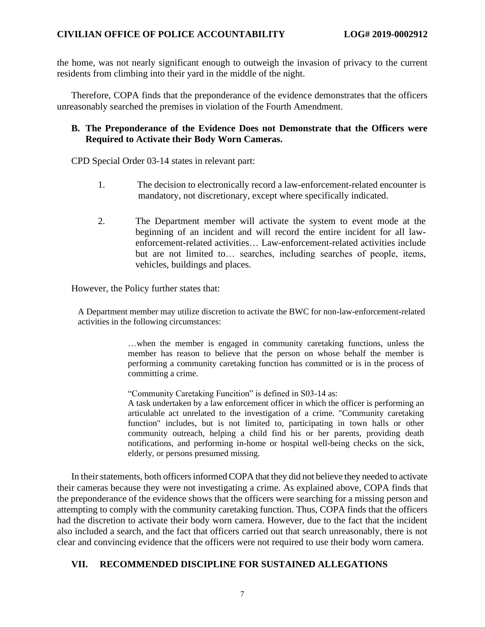the home, was not nearly significant enough to outweigh the invasion of privacy to the current residents from climbing into their yard in the middle of the night.

Therefore, COPA finds that the preponderance of the evidence demonstrates that the officers unreasonably searched the premises in violation of the Fourth Amendment.

#### **B. The Preponderance of the Evidence Does not Demonstrate that the Officers were Required to Activate their Body Worn Cameras.**

CPD Special Order 03-14 states in relevant part:

- 1. The decision to electronically record a law-enforcement-related encounter is mandatory, not discretionary, except where specifically indicated.
- 2. The Department member will activate the system to event mode at the beginning of an incident and will record the entire incident for all lawenforcement-related activities… Law-enforcement-related activities include but are not limited to… searches, including searches of people, items, vehicles, buildings and places.

However, the Policy further states that:

A Department member may utilize discretion to activate the BWC for non-law-enforcement-related activities in the following circumstances:

> …when the member is engaged in community caretaking functions, unless the member has reason to believe that the person on whose behalf the member is performing a community caretaking function has committed or is in the process of committing a crime.

"Community Caretaking Funcition" is defined in S03-14 as:

A task undertaken by a law enforcement officer in which the officer is performing an articulable act unrelated to the investigation of a crime. "Community caretaking function" includes, but is not limited to, participating in town halls or other community outreach, helping a child find his or her parents, providing death notifications, and performing in-home or hospital well-being checks on the sick, elderly, or persons presumed missing.

In their statements, both officers informed COPA that they did not believe they needed to activate their cameras because they were not investigating a crime. As explained above, COPA finds that the preponderance of the evidence shows that the officers were searching for a missing person and attempting to comply with the community caretaking function. Thus, COPA finds that the officers had the discretion to activate their body worn camera. However, due to the fact that the incident also included a search, and the fact that officers carried out that search unreasonably, there is not clear and convincing evidence that the officers were not required to use their body worn camera.

## **VII. RECOMMENDED DISCIPLINE FOR SUSTAINED ALLEGATIONS**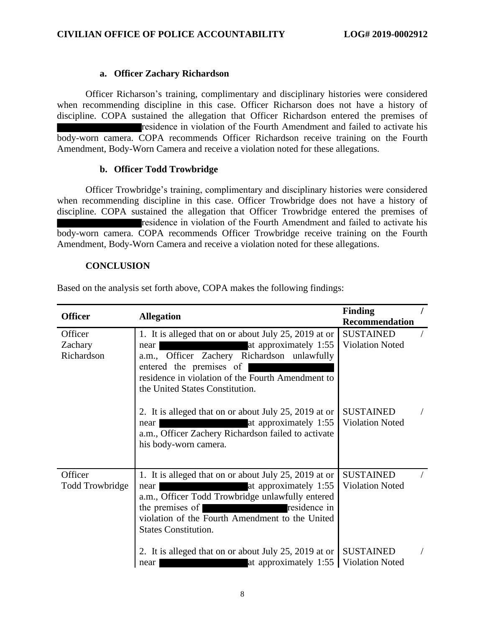#### **a. Officer Zachary Richardson**

Officer Richarson's training, complimentary and disciplinary histories were considered when recommending discipline in this case. Officer Richarson does not have a history of discipline. COPA sustained the allegation that Officer Richardson entered the premises of residence in violation of the Fourth Amendment and failed to activate his body-worn camera. COPA recommends Officer Richardson receive training on the Fourth Amendment, Body-Worn Camera and receive a violation noted for these allegations.

#### **b. Officer Todd Trowbridge**

Officer Trowbridge's training, complimentary and disciplinary histories were considered when recommending discipline in this case. Officer Trowbridge does not have a history of discipline. COPA sustained the allegation that Officer Trowbridge entered the premises of residence in violation of the Fourth Amendment and failed to activate his body-worn camera. COPA recommends Officer Trowbridge receive training on the Fourth Amendment, Body-Worn Camera and receive a violation noted for these allegations.

#### **CONCLUSION**

| <b>Officer</b>                    | <b>Allegation</b>                                                                                                                                                                                                                                               | <b>Finding</b>                             |  |
|-----------------------------------|-----------------------------------------------------------------------------------------------------------------------------------------------------------------------------------------------------------------------------------------------------------------|--------------------------------------------|--|
|                                   |                                                                                                                                                                                                                                                                 | <b>Recommendation</b>                      |  |
| Officer<br>Zachary<br>Richardson  | 1. It is alleged that on or about July 25, 2019 at or<br>at approximately 1:55<br>near<br>a.m., Officer Zachery Richardson unlawfully<br>entered the premises of<br>residence in violation of the Fourth Amendment to<br>the United States Constitution.        | <b>SUSTAINED</b><br><b>Violation Noted</b> |  |
|                                   | 2. It is alleged that on or about July 25, 2019 at or<br>at approximately 1:55<br>near<br>a.m., Officer Zachery Richardson failed to activate<br>his body-worn camera.                                                                                          | <b>SUSTAINED</b><br><b>Violation Noted</b> |  |
| Officer<br><b>Todd Trowbridge</b> | 1. It is alleged that on or about July 25, 2019 at or<br>at approximately 1:55<br>near<br>a.m., Officer Todd Trowbridge unlawfully entered<br>the premises of<br>residence in<br>violation of the Fourth Amendment to the United<br><b>States Constitution.</b> | <b>SUSTAINED</b><br><b>Violation Noted</b> |  |
|                                   | 2. It is alleged that on or about July 25, 2019 at or<br>at approximately 1:55<br>near                                                                                                                                                                          | <b>SUSTAINED</b><br><b>Violation Noted</b> |  |

Based on the analysis set forth above, COPA makes the following findings: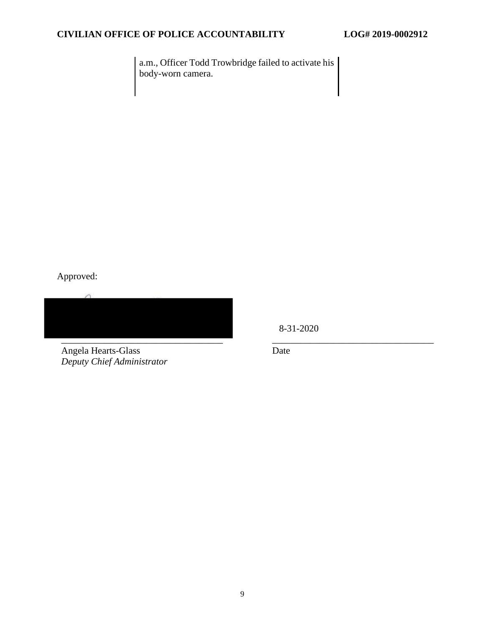a.m., Officer Todd Trowbridge failed to activate his body-worn camera.

Approved:

\_\_\_\_\_\_\_\_\_\_\_\_\_\_\_\_\_\_\_\_\_\_\_\_\_\_\_\_\_\_\_\_\_\_ \_\_\_\_\_\_\_\_\_\_\_\_\_\_\_\_\_\_\_\_\_\_\_\_\_\_\_\_\_\_\_\_\_\_

Angela Hearts-Glass *Deputy Chief Administrator* 

8-31-2020

Date